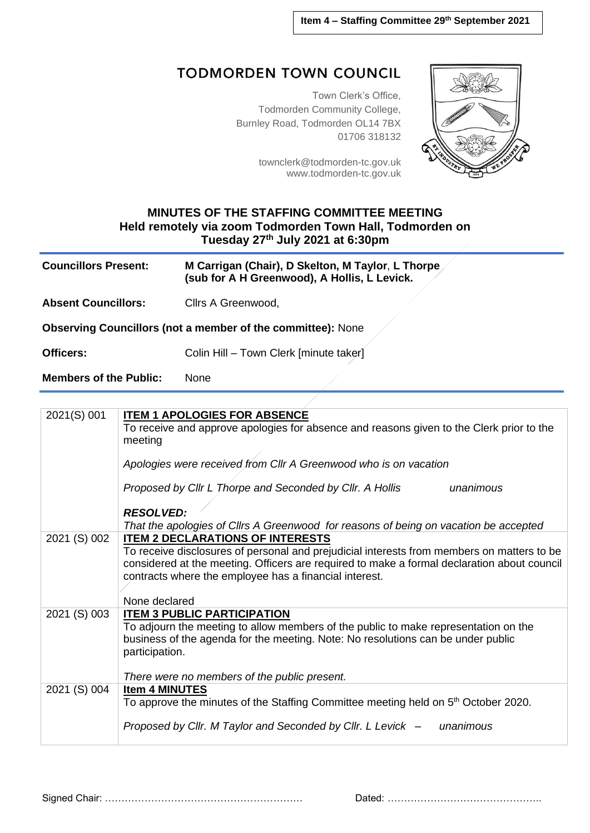## **TODMORDEN TOWN COUNCIL**

Town Clerk's Office, Todmorden Community College, Burnley Road, Todmorden OL14 7BX 01706 318132

> [townclerk@todmorden-tc.gov.uk](mailto:townclerk@todmorden-tc.gov.uk) www.todmorden-tc.gov.uk



## **MINUTES OF THE STAFFING COMMITTEE MEETING Held remotely via zoom Todmorden Town Hall, Todmorden on Tuesday 27th July 2021 at 6:30pm**

| <b>Councillors Present:</b>                                        | M Carrigan (Chair), D Skelton, M Taylor, L Thorpe<br>(sub for A H Greenwood), A Hollis, L Levick. |  |
|--------------------------------------------------------------------|---------------------------------------------------------------------------------------------------|--|
| <b>Absent Councillors:</b>                                         | Cllrs A Greenwood,                                                                                |  |
| <b>Observing Councillors (not a member of the committee):</b> None |                                                                                                   |  |
| <b>Officers:</b>                                                   | Colin Hill - Town Clerk [minute taker]                                                            |  |
| <b>Members of the Public:</b>                                      | None                                                                                              |  |

| 2021(S) 001  | <b>ITEM 1 APOLOGIES FOR ABSENCE</b>                                                                 |
|--------------|-----------------------------------------------------------------------------------------------------|
|              | To receive and approve apologies for absence and reasons given to the Clerk prior to the<br>meeting |
|              | Apologies were received from Cllr A Greenwood who is on vacation                                    |
|              | Proposed by Cllr L Thorpe and Seconded by Cllr. A Hollis<br>unanimous                               |
|              | <b>RESOLVED:</b>                                                                                    |
|              | That the apologies of Cllrs A Greenwood for reasons of being on vacation be accepted                |
| 2021 (S) 002 | <b>ITEM 2 DECLARATIONS OF INTERESTS</b>                                                             |
|              | To receive disclosures of personal and prejudicial interests from members on matters to be          |
|              | considered at the meeting. Officers are required to make a formal declaration about council         |
|              | contracts where the employee has a financial interest.                                              |
|              | None declared                                                                                       |
| 2021 (S) 003 | <b>ITEM 3 PUBLIC PARTICIPATION</b>                                                                  |
|              | To adjourn the meeting to allow members of the public to make representation on the                 |
|              | business of the agenda for the meeting. Note: No resolutions can be under public                    |
|              | participation.                                                                                      |
|              |                                                                                                     |
|              | There were no members of the public present.                                                        |
| 2021 (S) 004 | <b>Item 4 MINUTES</b>                                                                               |
|              | To approve the minutes of the Staffing Committee meeting held on 5 <sup>th</sup> October 2020.      |
|              | Proposed by Cllr. M Taylor and Seconded by Cllr. L Levick -<br>unanimous                            |
|              |                                                                                                     |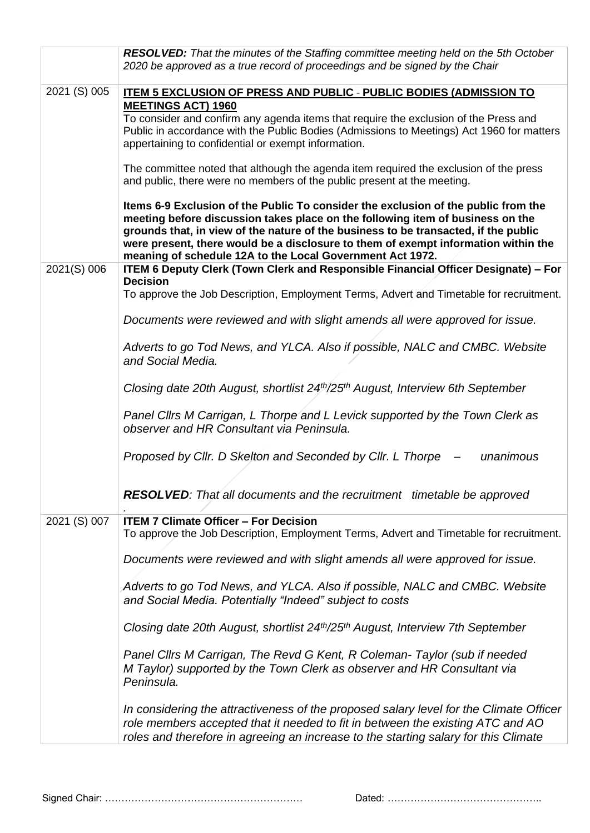|              | <b>RESOLVED:</b> That the minutes of the Staffing committee meeting held on the 5th October<br>2020 be approved as a true record of proceedings and be signed by the Chair                                                                                                                                                                                                                                     |
|--------------|----------------------------------------------------------------------------------------------------------------------------------------------------------------------------------------------------------------------------------------------------------------------------------------------------------------------------------------------------------------------------------------------------------------|
| 2021 (S) 005 | ITEM 5 EXCLUSION OF PRESS AND PUBLIC - PUBLIC BODIES (ADMISSION TO                                                                                                                                                                                                                                                                                                                                             |
|              | <b>MEETINGS ACT) 1960</b><br>To consider and confirm any agenda items that require the exclusion of the Press and<br>Public in accordance with the Public Bodies (Admissions to Meetings) Act 1960 for matters<br>appertaining to confidential or exempt information.                                                                                                                                          |
|              | The committee noted that although the agenda item required the exclusion of the press<br>and public, there were no members of the public present at the meeting.                                                                                                                                                                                                                                               |
|              | Items 6-9 Exclusion of the Public To consider the exclusion of the public from the<br>meeting before discussion takes place on the following item of business on the<br>grounds that, in view of the nature of the business to be transacted, if the public<br>were present, there would be a disclosure to them of exempt information within the<br>meaning of schedule 12A to the Local Government Act 1972. |
| 2021(S) 006  | ITEM 6 Deputy Clerk (Town Clerk and Responsible Financial Officer Designate) - For<br><b>Decision</b>                                                                                                                                                                                                                                                                                                          |
|              | To approve the Job Description, Employment Terms, Advert and Timetable for recruitment.                                                                                                                                                                                                                                                                                                                        |
|              | Documents were reviewed and with slight amends all were approved for issue.                                                                                                                                                                                                                                                                                                                                    |
|              | Adverts to go Tod News, and YLCA. Also if possible, NALC and CMBC. Website<br>and Social Media.                                                                                                                                                                                                                                                                                                                |
|              | Closing date 20th August, shortlist 24th/25th August, Interview 6th September                                                                                                                                                                                                                                                                                                                                  |
|              | Panel Cllrs M Carrigan, L Thorpe and L Levick supported by the Town Clerk as<br>observer and HR Consultant via Peninsula.                                                                                                                                                                                                                                                                                      |
|              | Proposed by Cllr. D Skelton and Seconded by Cllr. L Thorpe<br>unanimous                                                                                                                                                                                                                                                                                                                                        |
|              | RESOLVED: That all documents and the recruitment timetable be approved                                                                                                                                                                                                                                                                                                                                         |
| 2021 (S) 007 | <b>ITEM 7 Climate Officer - For Decision</b><br>To approve the Job Description, Employment Terms, Advert and Timetable for recruitment.                                                                                                                                                                                                                                                                        |
|              | Documents were reviewed and with slight amends all were approved for issue.                                                                                                                                                                                                                                                                                                                                    |
|              | Adverts to go Tod News, and YLCA. Also if possible, NALC and CMBC. Website<br>and Social Media. Potentially "Indeed" subject to costs                                                                                                                                                                                                                                                                          |
|              | Closing date 20th August, shortlist 24th/25th August, Interview 7th September                                                                                                                                                                                                                                                                                                                                  |
|              | Panel Cllrs M Carrigan, The Revd G Kent, R Coleman- Taylor (sub if needed<br>M Taylor) supported by the Town Clerk as observer and HR Consultant via<br>Peninsula.                                                                                                                                                                                                                                             |
|              | In considering the attractiveness of the proposed salary level for the Climate Officer<br>role members accepted that it needed to fit in between the existing ATC and AO<br>roles and therefore in agreeing an increase to the starting salary for this Climate                                                                                                                                                |

Signed Chair: …………………………………………………… Dated: ………………………………………..